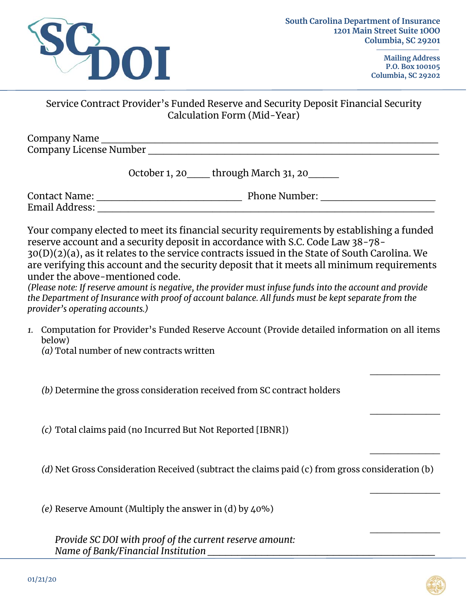

**Mailing Address P.O. Box 100105 Columbia, SC 29202** 

 $\overline{\phantom{a}}$ 

 $\overline{\phantom{a}}$ 

 $\overline{\phantom{a}}$ 

 $\overline{\phantom{a}}$ 

 $\overline{\phantom{a}}$ 

## Service Contract Provider's Funded Reserve and Security Deposit Financial Security Calculation Form (Mid-Year)

| Company Name           |  |
|------------------------|--|
| Company License Number |  |

| October 1, 20 | through March 31, 20 |
|---------------|----------------------|
|---------------|----------------------|

Contact Name: \_\_\_\_\_\_\_\_\_\_\_\_\_\_\_\_\_\_\_ Phone Number: \_\_\_\_\_\_\_\_\_\_\_\_\_\_\_ Email Address: \_\_\_\_\_\_\_\_\_\_\_\_\_\_\_\_\_\_\_\_\_\_\_\_\_\_\_\_\_\_\_\_\_\_\_\_\_\_\_\_\_\_\_\_

Your company elected to meet its financial security requirements by establishing a funded reserve account and a security deposit in accordance with S.C. Code Law 38-78- 30(D)(2)(a), as it relates to the service contracts issued in the State of South Carolina. We are verifying this account and the security deposit that it meets all minimum requirements under the above-mentioned code.

*(Please note: If reserve amount is negative, the provider must infuse funds into the account and provide the Department of Insurance with proof of account balance. All funds must be kept separate from the provider's operating accounts.)* 

- *1.* Computation for Provider's Funded Reserve Account (Provide detailed information on all items below)
	- *(a)* Total number of new contracts written

*(b)* Determine the gross consideration received from SC contract holders

*(c)* Total claims paid (no Incurred But Not Reported [IBNR])

*(d)* Net Gross Consideration Received (subtract the claims paid (c) from gross consideration (b)

*(e)* Reserve Amount (Multiply the answer in (d) by 40%)

*Provide SC DOI with proof of the current reserve amount: Name of Bank/Financial Institution \_\_\_\_\_\_\_\_\_\_\_\_\_\_\_\_\_\_\_\_\_\_\_\_\_\_\_\_\_\_\_\_\_\_\_\_\_\_*